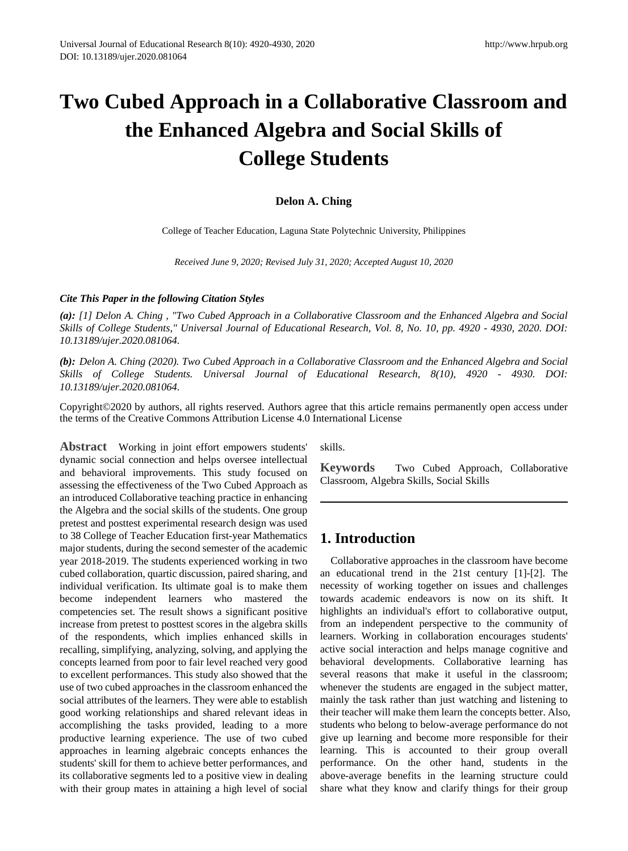# **Two Cubed Approach in a Collaborative Classroom and the Enhanced Algebra and Social Skills of College Students**

#### **Delon A. Ching**

College of Teacher Education, Laguna State Polytechnic University, Philippines

*Received June 9, 2020; Revised July 31, 2020; Accepted August 10, 2020*

#### *Cite This Paper in the following Citation Styles*

*(a): [1] Delon A. Ching , "Two Cubed Approach in a Collaborative Classroom and the Enhanced Algebra and Social Skills of College Students," Universal Journal of Educational Research, Vol. 8, No. 10, pp. 4920 - 4930, 2020. DOI: 10.13189/ujer.2020.081064.* 

*(b): Delon A. Ching (2020). Two Cubed Approach in a Collaborative Classroom and the Enhanced Algebra and Social Skills of College Students. Universal Journal of Educational Research, 8(10), 4920 - 4930. DOI: 10.13189/ujer.2020.081064.* 

Copyright©2020 by authors, all rights reserved. Authors agree that this article remains permanently open access under the terms of the Creative Commons Attribution License 4.0 International License

**Abstract** Working in joint effort empowers students' dynamic social connection and helps oversee intellectual and behavioral improvements. This study focused on assessing the effectiveness of the Two Cubed Approach as an introduced Collaborative teaching practice in enhancing the Algebra and the social skills of the students. One group pretest and posttest experimental research design was used to 38 College of Teacher Education first-year Mathematics major students, during the second semester of the academic year 2018-2019. The students experienced working in two cubed collaboration, quartic discussion, paired sharing, and individual verification. Its ultimate goal is to make them become independent learners who mastered the competencies set. The result shows a significant positive increase from pretest to posttest scores in the algebra skills of the respondents, which implies enhanced skills in recalling, simplifying, analyzing, solving, and applying the concepts learned from poor to fair level reached very good to excellent performances. This study also showed that the use of two cubed approaches in the classroom enhanced the social attributes of the learners. They were able to establish good working relationships and shared relevant ideas in accomplishing the tasks provided, leading to a more productive learning experience. The use of two cubed approaches in learning algebraic concepts enhances the students' skill for them to achieve better performances, and its collaborative segments led to a positive view in dealing with their group mates in attaining a high level of social

skills.

**Keywords** Two Cubed Approach, Collaborative Classroom, Algebra Skills, Social Skills

# **1. Introduction**

Collaborative approaches in the classroom have become an educational trend in the 21st century [1]-[2]. The necessity of working together on issues and challenges towards academic endeavors is now on its shift. It highlights an individual's effort to collaborative output, from an independent perspective to the community of learners. Working in collaboration encourages students' active social interaction and helps manage cognitive and behavioral developments. Collaborative learning has several reasons that make it useful in the classroom; whenever the students are engaged in the subject matter, mainly the task rather than just watching and listening to their teacher will make them learn the concepts better. Also, students who belong to below-average performance do not give up learning and become more responsible for their learning. This is accounted to their group overall performance. On the other hand, students in the above-average benefits in the learning structure could share what they know and clarify things for their group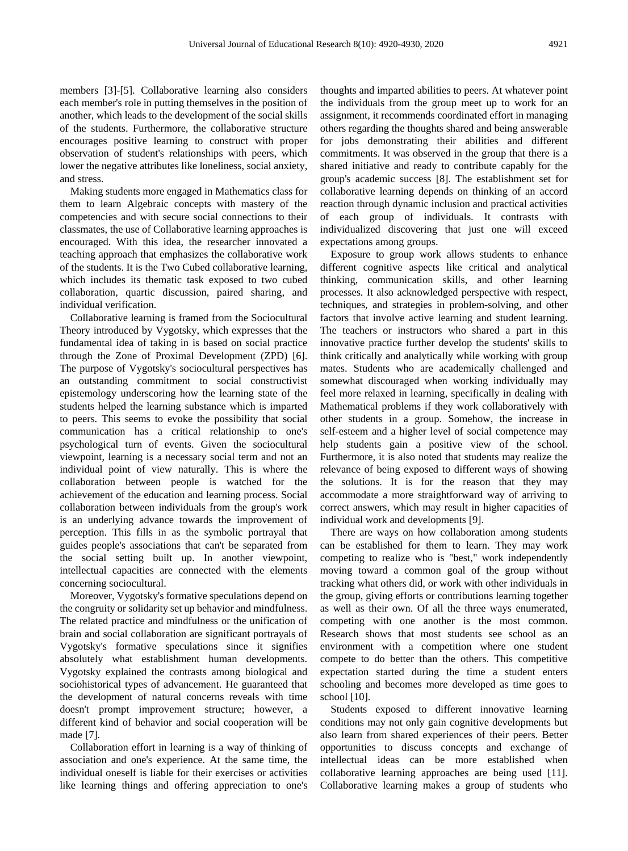members [3]-[5]. Collaborative learning also considers each member's role in putting themselves in the position of another, which leads to the development of the social skills of the students. Furthermore, the collaborative structure encourages positive learning to construct with proper observation of student's relationships with peers, which lower the negative attributes like loneliness, social anxiety, and stress.

Making students more engaged in Mathematics class for them to learn Algebraic concepts with mastery of the competencies and with secure social connections to their classmates, the use of Collaborative learning approaches is encouraged. With this idea, the researcher innovated a teaching approach that emphasizes the collaborative work of the students. It is the Two Cubed collaborative learning, which includes its thematic task exposed to two cubed collaboration, quartic discussion, paired sharing, and individual verification.

Collaborative learning is framed from the Sociocultural Theory introduced by Vygotsky, which expresses that the fundamental idea of taking in is based on social practice through the Zone of Proximal Development (ZPD) [6]. The purpose of Vygotsky's sociocultural perspectives has an outstanding commitment to social constructivist epistemology underscoring how the learning state of the students helped the learning substance which is imparted to peers. This seems to evoke the possibility that social communication has a critical relationship to one's psychological turn of events. Given the sociocultural viewpoint, learning is a necessary social term and not an individual point of view naturally. This is where the collaboration between people is watched for the achievement of the education and learning process. Social collaboration between individuals from the group's work is an underlying advance towards the improvement of perception. This fills in as the symbolic portrayal that guides people's associations that can't be separated from the social setting built up. In another viewpoint, intellectual capacities are connected with the elements concerning sociocultural.

Moreover, Vygotsky's formative speculations depend on the congruity or solidarity set up behavior and mindfulness. The related practice and mindfulness or the unification of brain and social collaboration are significant portrayals of Vygotsky's formative speculations since it signifies absolutely what establishment human developments. Vygotsky explained the contrasts among biological and sociohistorical types of advancement. He guaranteed that the development of natural concerns reveals with time doesn't prompt improvement structure; however, a different kind of behavior and social cooperation will be made [7].

Collaboration effort in learning is a way of thinking of association and one's experience. At the same time, the individual oneself is liable for their exercises or activities like learning things and offering appreciation to one's

thoughts and imparted abilities to peers. At whatever point the individuals from the group meet up to work for an assignment, it recommends coordinated effort in managing others regarding the thoughts shared and being answerable for jobs demonstrating their abilities and different commitments. It was observed in the group that there is a shared initiative and ready to contribute capably for the group's academic success [8]. The establishment set for collaborative learning depends on thinking of an accord reaction through dynamic inclusion and practical activities of each group of individuals. It contrasts with individualized discovering that just one will exceed expectations among groups.

Exposure to group work allows students to enhance different cognitive aspects like critical and analytical thinking, communication skills, and other learning processes. It also acknowledged perspective with respect, techniques, and strategies in problem-solving, and other factors that involve active learning and student learning. The teachers or instructors who shared a part in this innovative practice further develop the students' skills to think critically and analytically while working with group mates. Students who are academically challenged and somewhat discouraged when working individually may feel more relaxed in learning, specifically in dealing with Mathematical problems if they work collaboratively with other students in a group. Somehow, the increase in self-esteem and a higher level of social competence may help students gain a positive view of the school. Furthermore, it is also noted that students may realize the relevance of being exposed to different ways of showing the solutions. It is for the reason that they may accommodate a more straightforward way of arriving to correct answers, which may result in higher capacities of individual work and developments [9].

There are ways on how collaboration among students can be established for them to learn. They may work competing to realize who is "best," work independently moving toward a common goal of the group without tracking what others did, or work with other individuals in the group, giving efforts or contributions learning together as well as their own. Of all the three ways enumerated, competing with one another is the most common. Research shows that most students see school as an environment with a competition where one student compete to do better than the others. This competitive expectation started during the time a student enters schooling and becomes more developed as time goes to school [10].

Students exposed to different innovative learning conditions may not only gain cognitive developments but also learn from shared experiences of their peers. Better opportunities to discuss concepts and exchange of intellectual ideas can be more established when collaborative learning approaches are being used [11]. Collaborative learning makes a group of students who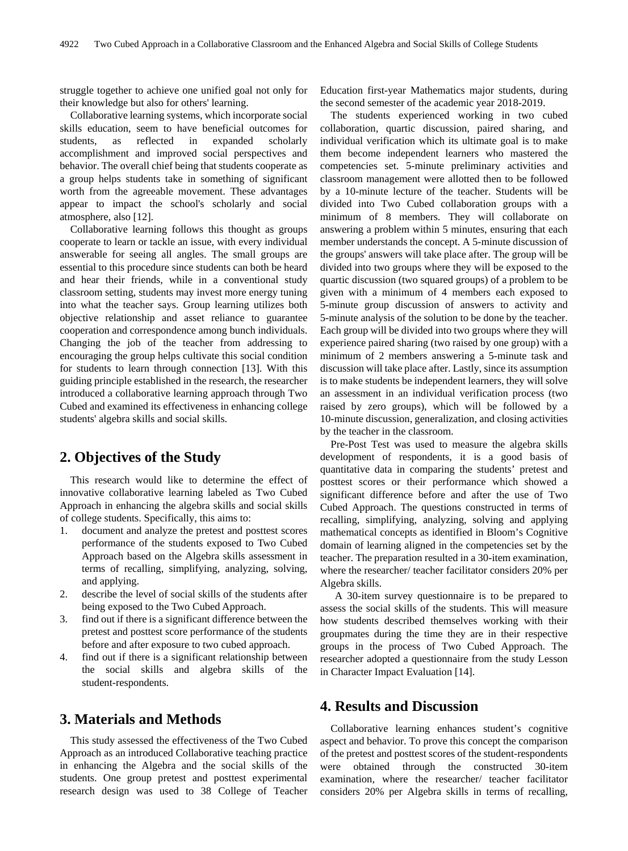struggle together to achieve one unified goal not only for their knowledge but also for others' learning.

Collaborative learning systems, which incorporate social skills education, seem to have beneficial outcomes for students, as reflected in expanded scholarly accomplishment and improved social perspectives and behavior. The overall chief being that students cooperate as a group helps students take in something of significant worth from the agreeable movement. These advantages appear to impact the school's scholarly and social atmosphere, also [12].

Collaborative learning follows this thought as groups cooperate to learn or tackle an issue, with every individual answerable for seeing all angles. The small groups are essential to this procedure since students can both be heard and hear their friends, while in a conventional study classroom setting, students may invest more energy tuning into what the teacher says. Group learning utilizes both objective relationship and asset reliance to guarantee cooperation and correspondence among bunch individuals. Changing the job of the teacher from addressing to encouraging the group helps cultivate this social condition for students to learn through connection [13]. With this guiding principle established in the research, the researcher introduced a collaborative learning approach through Two Cubed and examined its effectiveness in enhancing college students' algebra skills and social skills.

# **2. Objectives of the Study**

This research would like to determine the effect of innovative collaborative learning labeled as Two Cubed Approach in enhancing the algebra skills and social skills of college students. Specifically, this aims to:

- 1. document and analyze the pretest and posttest scores performance of the students exposed to Two Cubed Approach based on the Algebra skills assessment in terms of recalling, simplifying, analyzing, solving, and applying.
- 2. describe the level of social skills of the students after being exposed to the Two Cubed Approach.
- 3. find out if there is a significant difference between the pretest and posttest score performance of the students before and after exposure to two cubed approach.
- 4. find out if there is a significant relationship between the social skills and algebra skills of the student-respondents.

# **3. Materials and Methods**

This study assessed the effectiveness of the Two Cubed Approach as an introduced Collaborative teaching practice in enhancing the Algebra and the social skills of the students. One group pretest and posttest experimental research design was used to 38 College of Teacher

Education first-year Mathematics major students, during the second semester of the academic year 2018-2019.

The students experienced working in two cubed collaboration, quartic discussion, paired sharing, and individual verification which its ultimate goal is to make them become independent learners who mastered the competencies set. 5-minute preliminary activities and classroom management were allotted then to be followed by a 10-minute lecture of the teacher. Students will be divided into Two Cubed collaboration groups with a minimum of 8 members. They will collaborate on answering a problem within 5 minutes, ensuring that each member understands the concept. A 5-minute discussion of the groups' answers will take place after. The group will be divided into two groups where they will be exposed to the quartic discussion (two squared groups) of a problem to be given with a minimum of 4 members each exposed to 5-minute group discussion of answers to activity and 5-minute analysis of the solution to be done by the teacher. Each group will be divided into two groups where they will experience paired sharing (two raised by one group) with a minimum of 2 members answering a 5-minute task and discussion will take place after. Lastly, since its assumption is to make students be independent learners, they will solve an assessment in an individual verification process (two raised by zero groups), which will be followed by a 10-minute discussion, generalization, and closing activities by the teacher in the classroom.

Pre-Post Test was used to measure the algebra skills development of respondents, it is a good basis of quantitative data in comparing the students' pretest and posttest scores or their performance which showed a significant difference before and after the use of Two Cubed Approach. The questions constructed in terms of recalling, simplifying, analyzing, solving and applying mathematical concepts as identified in Bloom's Cognitive domain of learning aligned in the competencies set by the teacher. The preparation resulted in a 30-item examination, where the researcher/ teacher facilitator considers 20% per Algebra skills.

A 30-item survey questionnaire is to be prepared to assess the social skills of the students. This will measure how students described themselves working with their groupmates during the time they are in their respective groups in the process of Two Cubed Approach. The researcher adopted a questionnaire from the study Lesson in Character Impact Evaluation [14].

# **4. Results and Discussion**

Collaborative learning enhances student's cognitive aspect and behavior. To prove this concept the comparison of the pretest and posttest scores of the student-respondents were obtained through the constructed 30-item examination, where the researcher/ teacher facilitator considers 20% per Algebra skills in terms of recalling,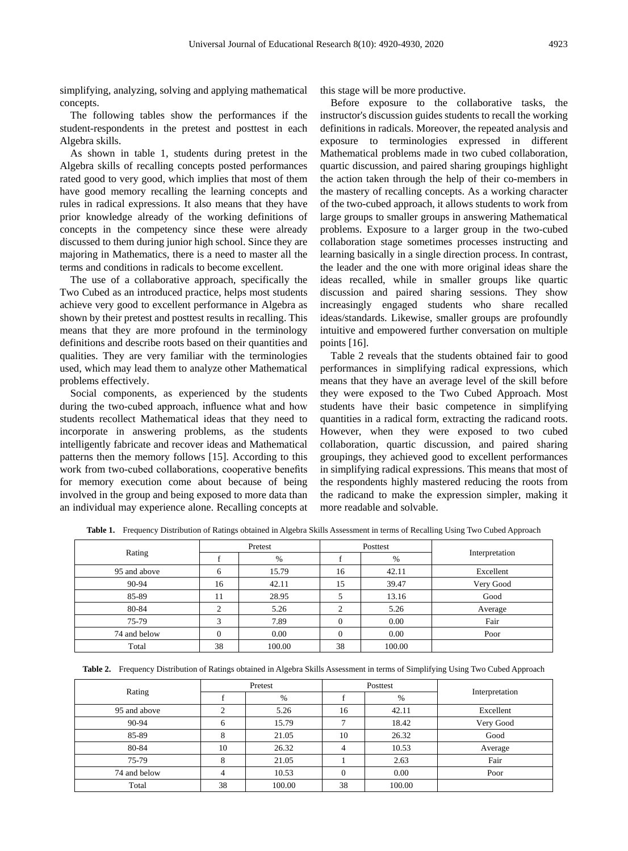simplifying, analyzing, solving and applying mathematical concepts.

The following tables show the performances if the student-respondents in the pretest and posttest in each Algebra skills.

As shown in table 1, students during pretest in the Algebra skills of recalling concepts posted performances rated good to very good, which implies that most of them have good memory recalling the learning concepts and rules in radical expressions. It also means that they have prior knowledge already of the working definitions of concepts in the competency since these were already discussed to them during junior high school. Since they are majoring in Mathematics, there is a need to master all the terms and conditions in radicals to become excellent.

The use of a collaborative approach, specifically the Two Cubed as an introduced practice, helps most students achieve very good to excellent performance in Algebra as shown by their pretest and posttest results in recalling. This means that they are more profound in the terminology definitions and describe roots based on their quantities and qualities. They are very familiar with the terminologies used, which may lead them to analyze other Mathematical problems effectively.

Social components, as experienced by the students during the two-cubed approach, influence what and how students recollect Mathematical ideas that they need to incorporate in answering problems, as the students intelligently fabricate and recover ideas and Mathematical patterns then the memory follows [15]. According to this work from two-cubed collaborations, cooperative benefits for memory execution come about because of being involved in the group and being exposed to more data than an individual may experience alone. Recalling concepts at

this stage will be more productive.

Before exposure to the collaborative tasks, the instructor's discussion guides students to recall the working definitions in radicals. Moreover, the repeated analysis and exposure to terminologies expressed in different Mathematical problems made in two cubed collaboration, quartic discussion, and paired sharing groupings highlight the action taken through the help of their co-members in the mastery of recalling concepts. As a working character of the two-cubed approach, it allows students to work from large groups to smaller groups in answering Mathematical problems. Exposure to a larger group in the two-cubed collaboration stage sometimes processes instructing and learning basically in a single direction process. In contrast, the leader and the one with more original ideas share the ideas recalled, while in smaller groups like quartic discussion and paired sharing sessions. They show increasingly engaged students who share recalled ideas/standards. Likewise, smaller groups are profoundly intuitive and empowered further conversation on multiple points [16].

Table 2 reveals that the students obtained fair to good performances in simplifying radical expressions, which means that they have an average level of the skill before they were exposed to the Two Cubed Approach. Most students have their basic competence in simplifying quantities in a radical form, extracting the radicand roots. However, when they were exposed to two cubed collaboration, quartic discussion, and paired sharing groupings, they achieved good to excellent performances in simplifying radical expressions. This means that most of the respondents highly mastered reducing the roots from the radicand to make the expression simpler, making it more readable and solvable.

|              | Pretest |        | Posttest |        |                |
|--------------|---------|--------|----------|--------|----------------|
| Rating       |         | %      |          | %      | Interpretation |
| 95 and above | h       | 15.79  | 16       | 42.11  | Excellent      |
| 90-94        | 16      | 42.11  | 15       | 39.47  | Very Good      |
| 85-89        | 11      | 28.95  |          | 13.16  | Good           |
| 80-84        |         | 5.26   |          | 5.26   | Average        |
| 75-79        |         | 7.89   |          | 0.00   | Fair           |
| 74 and below |         | 0.00   |          | 0.00   | Poor           |
| Total        | 38      | 100.00 | 38       | 100.00 |                |

Table 1. Frequency Distribution of Ratings obtained in Algebra Skills Assessment in terms of Recalling Using Two Cubed Approach

Table 2. Frequency Distribution of Ratings obtained in Algebra Skills Assessment in terms of Simplifying Using Two Cubed Approach

|              | Pretest |        | Posttest |        |                |  |
|--------------|---------|--------|----------|--------|----------------|--|
| Rating       |         | %      |          | $\%$   | Interpretation |  |
| 95 and above |         | 5.26   | 16       | 42.11  | Excellent      |  |
| 90-94        |         | 15.79  |          | 18.42  | Very Good      |  |
| 85-89        | δ       | 21.05  | 10       | 26.32  | Good           |  |
| 80-84        | 10      | 26.32  |          | 10.53  | Average        |  |
| 75-79        |         | 21.05  |          | 2.63   | Fair           |  |
| 74 and below |         | 10.53  |          | 0.00   | Poor           |  |
| Total        | 38      | 100.00 | 38       | 100.00 |                |  |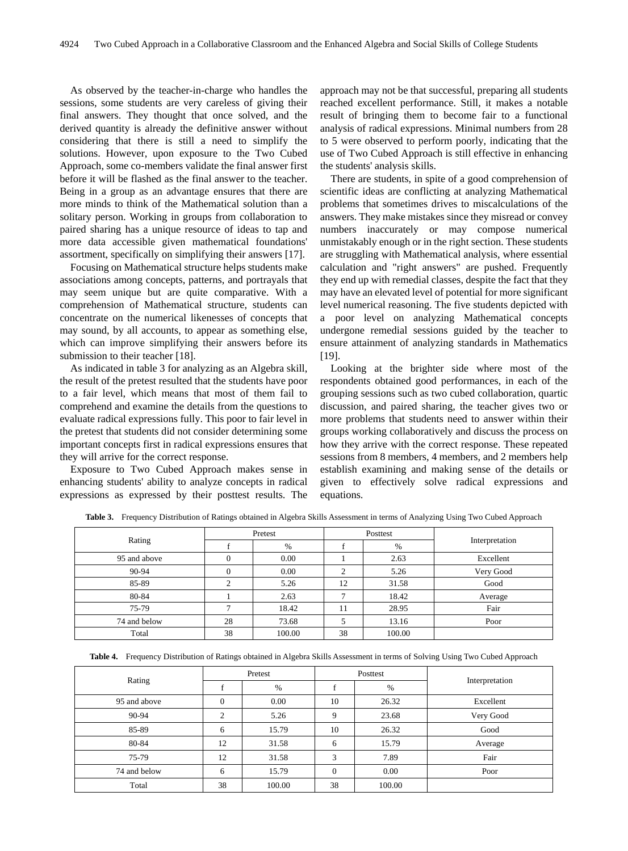As observed by the teacher-in-charge who handles the sessions, some students are very careless of giving their final answers. They thought that once solved, and the derived quantity is already the definitive answer without considering that there is still a need to simplify the solutions. However, upon exposure to the Two Cubed Approach, some co-members validate the final answer first before it will be flashed as the final answer to the teacher. Being in a group as an advantage ensures that there are more minds to think of the Mathematical solution than a solitary person. Working in groups from collaboration to paired sharing has a unique resource of ideas to tap and more data accessible given mathematical foundations' assortment, specifically on simplifying their answers [17].

Focusing on Mathematical structure helps students make associations among concepts, patterns, and portrayals that may seem unique but are quite comparative. With a comprehension of Mathematical structure, students can concentrate on the numerical likenesses of concepts that may sound, by all accounts, to appear as something else, which can improve simplifying their answers before its submission to their teacher [18].

As indicated in table 3 for analyzing as an Algebra skill, the result of the pretest resulted that the students have poor to a fair level, which means that most of them fail to comprehend and examine the details from the questions to evaluate radical expressions fully. This poor to fair level in the pretest that students did not consider determining some important concepts first in radical expressions ensures that they will arrive for the correct response.

Exposure to Two Cubed Approach makes sense in enhancing students' ability to analyze concepts in radical expressions as expressed by their posttest results. The approach may not be that successful, preparing all students reached excellent performance. Still, it makes a notable result of bringing them to become fair to a functional analysis of radical expressions. Minimal numbers from 28 to 5 were observed to perform poorly, indicating that the use of Two Cubed Approach is still effective in enhancing the students' analysis skills.

There are students, in spite of a good comprehension of scientific ideas are conflicting at analyzing Mathematical problems that sometimes drives to miscalculations of the answers. They make mistakes since they misread or convey numbers inaccurately or may compose numerical unmistakably enough or in the right section. These students are struggling with Mathematical analysis, where essential calculation and "right answers" are pushed. Frequently they end up with remedial classes, despite the fact that they may have an elevated level of potential for more significant level numerical reasoning. The five students depicted with a poor level on analyzing Mathematical concepts undergone remedial sessions guided by the teacher to ensure attainment of analyzing standards in Mathematics [19].

Looking at the brighter side where most of the respondents obtained good performances, in each of the grouping sessions such as two cubed collaboration, quartic discussion, and paired sharing, the teacher gives two or more problems that students need to answer within their groups working collaboratively and discuss the process on how they arrive with the correct response. These repeated sessions from 8 members, 4 members, and 2 members help establish examining and making sense of the details or given to effectively solve radical expressions and equations.

|              | Pretest |        | Posttest |        |                |
|--------------|---------|--------|----------|--------|----------------|
| Rating       |         | %      |          | %      | Interpretation |
| 95 and above |         | 0.00   |          | 2.63   | Excellent      |
| 90-94        |         | 0.00   | ◠        | 5.26   | Very Good      |
| 85-89        |         | 5.26   | 12       | 31.58  | Good           |
| 80-84        |         | 2.63   |          | 18.42  | Average        |
| 75-79        |         | 18.42  | 11       | 28.95  | Fair           |
| 74 and below | 28      | 73.68  |          | 13.16  | Poor           |
| Total        | 38      | 100.00 | 38       | 100.00 |                |

Table 3. Frequency Distribution of Ratings obtained in Algebra Skills Assessment in terms of Analyzing Using Two Cubed Approach

**Table 4.** Frequency Distribution of Ratings obtained in Algebra Skills Assessment in terms of Solving Using Two Cubed Approach

|              | Pretest  |        | Posttest |        |                |
|--------------|----------|--------|----------|--------|----------------|
| Rating       |          | %      |          | %      | Interpretation |
| 95 and above | $\Omega$ | 0.00   | 10       | 26.32  | Excellent      |
| 90-94        | ↑        | 5.26   | 9        | 23.68  | Very Good      |
| 85-89        | 6        | 15.79  | 10       | 26.32  | Good           |
| 80-84        | 12       | 31.58  | 6        | 15.79  | Average        |
| 75-79        | 12       | 31.58  | 3        | 7.89   | Fair           |
| 74 and below | 6        | 15.79  | $\Omega$ | 0.00   | Poor           |
| Total        | 38       | 100.00 | 38       | 100.00 |                |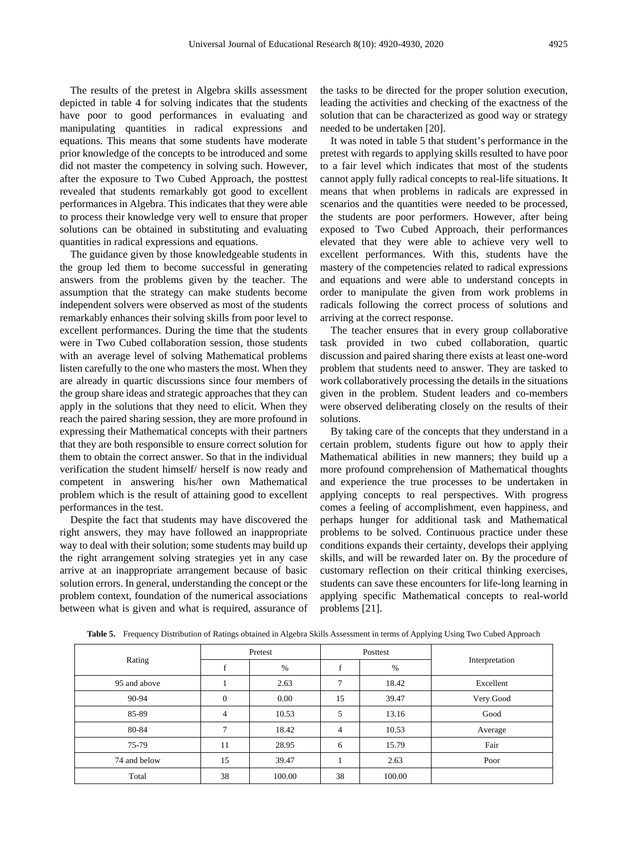The results of the pretest in Algebra skills assessment depicted in table 4 for solving indicates that the students have poor to good performances in evaluating and manipulating quantities in radical expressions and equations. This means that some students have moderate prior knowledge of the concepts to be introduced and some did not master the competency in solving such. However, after the exposure to Two Cubed Approach, the posttest revealed that students remarkably got good to excellent performances in Algebra. This indicates that they were able to process their knowledge very well to ensure that proper solutions can be obtained in substituting and evaluating quantities in radical expressions and equations.

The guidance given by those knowledgeable students in the group led them to become successful in generating answers from the problems given by the teacher. The assumption that the strategy can make students become independent solvers were observed as most of the students remarkably enhances their solving skills from poor level to excellent performances. During the time that the students were in Two Cubed collaboration session, those students with an average level of solving Mathematical problems listen carefully to the one who masters the most. When they are already in quartic discussions since four members of the group share ideas and strategic approaches that they can apply in the solutions that they need to elicit. When they reach the paired sharing session, they are more profound in expressing their Mathematical concepts with their partners that they are both responsible to ensure correct solution for them to obtain the correct answer. So that in the individual verification the student himself/ herself is now ready and competent in answering his/her own Mathematical problem which is the result of attaining good to excellent performances in the test.

Despite the fact that students may have discovered the right answers, they may have followed an inappropriate way to deal with their solution; some students may build up the right arrangement solving strategies yet in any case arrive at an inappropriate arrangement because of basic solution errors. In general, understanding the concept or the problem context, foundation of the numerical associations between what is given and what is required, assurance of the tasks to be directed for the proper solution execution, leading the activities and checking of the exactness of the solution that can be characterized as good way or strategy needed to be undertaken [20].

It was noted in table 5 that student's performance in the pretest with regards to applying skills resulted to have poor to a fair level which indicates that most of the students cannot apply fully radical concepts to real-life situations. It means that when problems in radicals are expressed in scenarios and the quantities were needed to be processed, the students are poor performers. However, after being exposed to Two Cubed Approach, their performances elevated that they were able to achieve very well to excellent performances. With this, students have the mastery of the competencies related to radical expressions and equations and were able to understand concepts in order to manipulate the given from work problems in radicals following the correct process of solutions and arriving at the correct response.

The teacher ensures that in every group collaborative task provided in two cubed collaboration, quartic discussion and paired sharing there exists at least one-word problem that students need to answer. They are tasked to work collaboratively processing the details in the situations given in the problem. Student leaders and co-members were observed deliberating closely on the results of their solutions.

By taking care of the concepts that they understand in a certain problem, students figure out how to apply their Mathematical abilities in new manners; they build up a more profound comprehension of Mathematical thoughts and experience the true processes to be undertaken in applying concepts to real perspectives. With progress comes a feeling of accomplishment, even happiness, and perhaps hunger for additional task and Mathematical problems to be solved. Continuous practice under these conditions expands their certainty, develops their applying skills, and will be rewarded later on. By the procedure of customary reflection on their critical thinking exercises, students can save these encounters for life-long learning in applying specific Mathematical concepts to real-world problems [21].

|              | Pretest  |        | Posttest |        |                |
|--------------|----------|--------|----------|--------|----------------|
| Rating       |          | $\%$   |          | %      | Interpretation |
| 95 and above |          | 2.63   |          | 18.42  | Excellent      |
| 90-94        | $\Omega$ | 0.00   | 15       | 39.47  | Very Good      |
| 85-89        | 4        | 10.53  | 5        | 13.16  | Good           |
| 80-84        |          | 18.42  | 4        | 10.53  | Average        |
| 75-79        | 11       | 28.95  | 6        | 15.79  | Fair           |
| 74 and below | 15       | 39.47  |          | 2.63   | Poor           |
| Total        | 38       | 100.00 | 38       | 100.00 |                |

**Table 5.** Frequency Distribution of Ratings obtained in Algebra Skills Assessment in terms of Applying Using Two Cubed Approach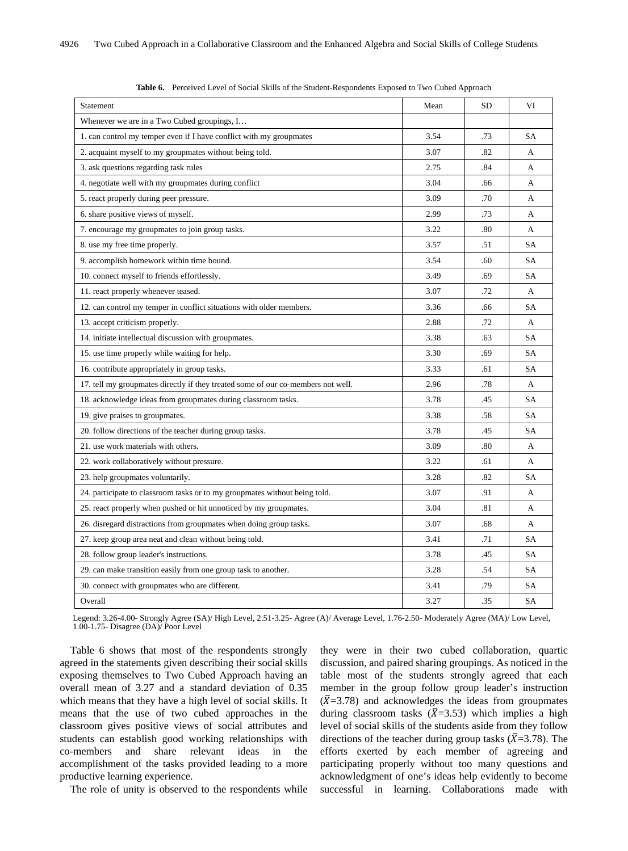| Statement                                                                        | Mean | SD  | VI        |
|----------------------------------------------------------------------------------|------|-----|-----------|
| Whenever we are in a Two Cubed groupings, I                                      |      |     |           |
| 1. can control my temper even if I have conflict with my groupmates              | 3.54 | .73 | <b>SA</b> |
| 2. acquaint myself to my groupmates without being told.                          | 3.07 | .82 | А         |
| 3. ask questions regarding task rules                                            | 2.75 | .84 | А         |
| 4. negotiate well with my groupmates during conflict                             | 3.04 | .66 | A         |
| 5. react properly during peer pressure.                                          | 3.09 | .70 | A         |
| 6. share positive views of myself.                                               | 2.99 | .73 | A         |
| 7. encourage my groupmates to join group tasks.                                  | 3.22 | .80 | A         |
| 8. use my free time properly.                                                    | 3.57 | .51 | <b>SA</b> |
| 9. accomplish homework within time bound.                                        | 3.54 | .60 | <b>SA</b> |
| 10. connect myself to friends effortlessly.                                      | 3.49 | .69 | SA        |
| 11. react properly whenever teased.                                              | 3.07 | .72 | А         |
| 12. can control my temper in conflict situations with older members.             | 3.36 | .66 | <b>SA</b> |
| 13. accept criticism properly.                                                   | 2.88 | .72 | A         |
| 14. initiate intellectual discussion with groupmates.                            | 3.38 | .63 | <b>SA</b> |
| 15. use time properly while waiting for help.                                    | 3.30 | .69 | SA        |
| 16. contribute appropriately in group tasks.                                     | 3.33 | .61 | SA        |
| 17. tell my groupmates directly if they treated some of our co-members not well. | 2.96 | .78 | А         |
| 18. acknowledge ideas from groupmates during classroom tasks.                    | 3.78 | .45 | SA        |
| 19. give praises to groupmates.                                                  | 3.38 | .58 | SA        |
| 20. follow directions of the teacher during group tasks.                         | 3.78 | .45 | <b>SA</b> |
| 21. use work materials with others.                                              | 3.09 | .80 | A         |
| 22. work collaboratively without pressure.                                       | 3.22 | .61 | A         |
| 23. help groupmates voluntarily.                                                 | 3.28 | .82 | <b>SA</b> |
| 24. participate to classroom tasks or to my groupmates without being told.       | 3.07 | .91 | A         |
| 25. react properly when pushed or hit unnoticed by my groupmates.                | 3.04 | .81 | А         |
| 26. disregard distractions from groupmates when doing group tasks.               | 3.07 | .68 | A         |
| 27. keep group area neat and clean without being told.                           | 3.41 | .71 | SA        |
| 28. follow group leader's instructions.                                          | 3.78 | .45 | <b>SA</b> |
| 29. can make transition easily from one group task to another.                   | 3.28 | .54 | <b>SA</b> |
| 30. connect with groupmates who are different.                                   | 3.41 | .79 | <b>SA</b> |
| Overall                                                                          | 3.27 | .35 | SA        |

**Table 6.** Perceived Level of Social Skills of the Student-Respondents Exposed to Two Cubed Approach

Legend: 3.26-4.00- Strongly Agree (SA)/ High Level, 2.51-3.25- Agree (A)/ Average Level, 1.76-2.50- Moderately Agree (MA)/ Low Level, 1.00-1.75- Disagree (DA)/ Poor Level

Table 6 shows that most of the respondents strongly agreed in the statements given describing their social skills exposing themselves to Two Cubed Approach having an overall mean of 3.27 and a standard deviation of 0.35 which means that they have a high level of social skills. It means that the use of two cubed approaches in the classroom gives positive views of social attributes and students can establish good working relationships with co-members and share relevant ideas in the accomplishment of the tasks provided leading to a more productive learning experience.

The role of unity is observed to the respondents while

they were in their two cubed collaboration, quartic discussion, and paired sharing groupings. As noticed in the table most of the students strongly agreed that each member in the group follow group leader's instruction  $(\bar{X}=3.78)$  and acknowledges the ideas from groupmates during classroom tasks  $(\bar{X}=3.53)$  which implies a high level of social skills of the students aside from they follow directions of the teacher during group tasks ( $\bar{X}$ =3.78). The efforts exerted by each member of agreeing and participating properly without too many questions and acknowledgment of one's ideas help evidently to become successful in learning. Collaborations made with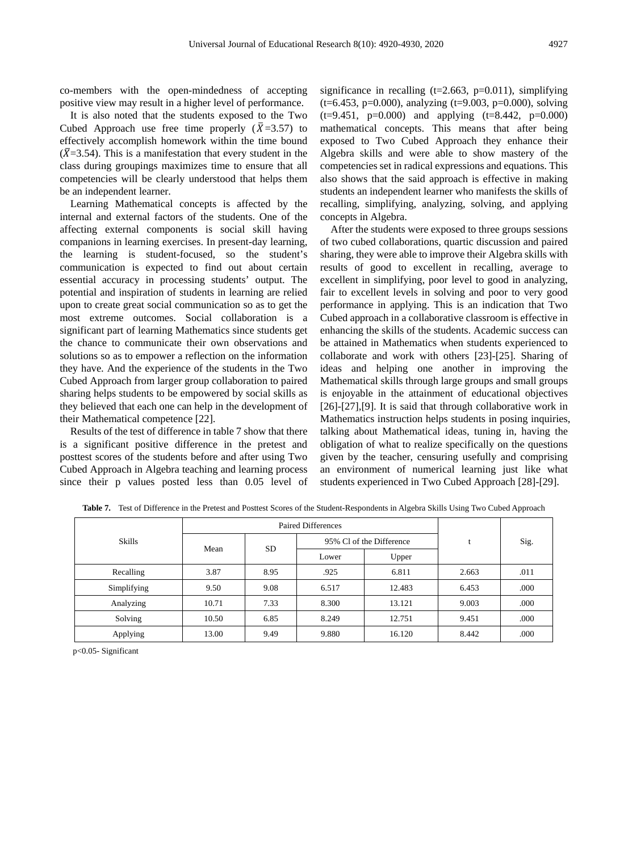co-members with the open-mindedness of accepting positive view may result in a higher level of performance.

It is also noted that the students exposed to the Two Cubed Approach use free time properly  $(\bar{X}=3.57)$  to effectively accomplish homework within the time bound  $(\overline{X}=3.54)$ . This is a manifestation that every student in the class during groupings maximizes time to ensure that all competencies will be clearly understood that helps them be an independent learner.

Learning Mathematical concepts is affected by the internal and external factors of the students. One of the affecting external components is social skill having companions in learning exercises. In present-day learning, the learning is student-focused, so the student's communication is expected to find out about certain essential accuracy in processing students' output. The potential and inspiration of students in learning are relied upon to create great social communication so as to get the most extreme outcomes. Social collaboration is a significant part of learning Mathematics since students get the chance to communicate their own observations and solutions so as to empower a reflection on the information they have. And the experience of the students in the Two Cubed Approach from larger group collaboration to paired sharing helps students to be empowered by social skills as they believed that each one can help in the development of their Mathematical competence [22].

Results of the test of difference in table 7 show that there is a significant positive difference in the pretest and posttest scores of the students before and after using Two Cubed Approach in Algebra teaching and learning process since their p values posted less than 0.05 level of significance in recalling ( $t=2.663$ ,  $p=0.011$ ), simplifying  $(t=6.453, p=0.000)$ , analyzing  $(t=9.003, p=0.000)$ , solving  $(t=9.451, p=0.000)$  and applying  $(t=8.442, p=0.000)$ mathematical concepts. This means that after being exposed to Two Cubed Approach they enhance their Algebra skills and were able to show mastery of the competencies set in radical expressions and equations. This also shows that the said approach is effective in making students an independent learner who manifests the skills of recalling, simplifying, analyzing, solving, and applying concepts in Algebra.

After the students were exposed to three groups sessions of two cubed collaborations, quartic discussion and paired sharing, they were able to improve their Algebra skills with results of good to excellent in recalling, average to excellent in simplifying, poor level to good in analyzing, fair to excellent levels in solving and poor to very good performance in applying. This is an indication that Two Cubed approach in a collaborative classroom is effective in enhancing the skills of the students. Academic success can be attained in Mathematics when students experienced to collaborate and work with others [23]-[25]. Sharing of ideas and helping one another in improving the Mathematical skills through large groups and small groups is enjoyable in the attainment of educational objectives [26]-[27], [9]. It is said that through collaborative work in Mathematics instruction helps students in posing inquiries, talking about Mathematical ideas, tuning in, having the obligation of what to realize specifically on the questions given by the teacher, censuring usefully and comprising an environment of numerical learning just like what students experienced in Two Cubed Approach [28]-[29].

|               |       | Paired Differences |       |                          |       |      |
|---------------|-------|--------------------|-------|--------------------------|-------|------|
| <b>Skills</b> | Mean  | <b>SD</b>          |       | 95% Cl of the Difference |       | Sig. |
|               |       |                    | Lower | Upper                    |       |      |
| Recalling     | 3.87  | 8.95               | .925  | 6.811                    | 2.663 | .011 |
| Simplifying   | 9.50  | 9.08               | 6.517 | 12.483                   | 6.453 | .000 |
| Analyzing     | 10.71 | 7.33               | 8.300 | 13.121                   | 9.003 | .000 |
| Solving       | 10.50 | 6.85               | 8.249 | 12.751                   | 9.451 | .000 |
| Applying      | 13.00 | 9.49               | 9.880 | 16.120                   | 8.442 | .000 |

**Table 7.** Test of Difference in the Pretest and Posttest Scores of the Student-Respondents in Algebra Skills Using Two Cubed Approach

p<0.05- Significant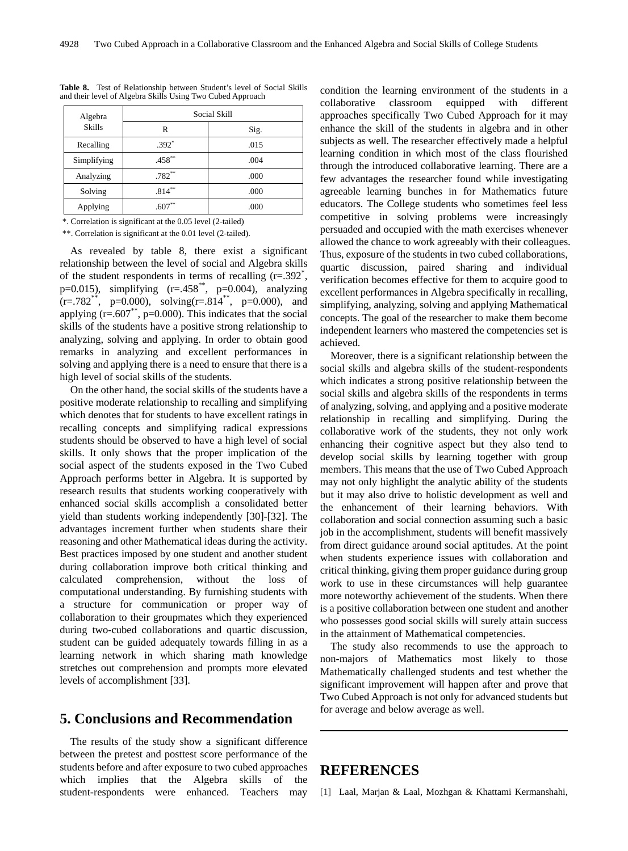| Algebra       | Social Skill |      |  |  |
|---------------|--------------|------|--|--|
| <b>Skills</b> | R            | Sig. |  |  |
| Recalling     | $.392*$      | .015 |  |  |
| Simplifying   | .458**       | .004 |  |  |
| Analyzing     | $.782**$     | .000 |  |  |
| Solving       | $.814***$    | .000 |  |  |
| Applying      | $.607**$     | .000 |  |  |

**Table 8.** Test of Relationship between Student's level of Social Skills and their level of Algebra Skills Using Two Cubed Approach

\*. Correlation is significant at the 0.05 level (2-tailed)

\*\*. Correlation is significant at the 0.01 level (2-tailed).

As revealed by table 8, there exist a significant relationship between the level of social and Algebra skills of the student respondents in terms of recalling  $(r=.392^*)$ , p=0.015), simplifying  $(r=.458^{**}, p=0.004)$ , analyzing  $(r=.782^{**}, p=0.000)$ , solving $(r=.814^{**}, p=0.000)$ , and applying  $(r=.607^{**}, p=.0000)$ . This indicates that the social skills of the students have a positive strong relationship to analyzing, solving and applying. In order to obtain good remarks in analyzing and excellent performances in solving and applying there is a need to ensure that there is a high level of social skills of the students.

On the other hand, the social skills of the students have a positive moderate relationship to recalling and simplifying which denotes that for students to have excellent ratings in recalling concepts and simplifying radical expressions students should be observed to have a high level of social skills. It only shows that the proper implication of the social aspect of the students exposed in the Two Cubed Approach performs better in Algebra. It is supported by research results that students working cooperatively with enhanced social skills accomplish a consolidated better yield than students working independently [30]-[32]. The advantages increment further when students share their reasoning and other Mathematical ideas during the activity. Best practices imposed by one student and another student during collaboration improve both critical thinking and calculated comprehension, without the loss of computational understanding. By furnishing students with a structure for communication or proper way of collaboration to their groupmates which they experienced during two-cubed collaborations and quartic discussion, student can be guided adequately towards filling in as a learning network in which sharing math knowledge stretches out comprehension and prompts more elevated levels of accomplishment [33].

# **5. Conclusions and Recommendation**

The results of the study show a significant difference between the pretest and posttest score performance of the students before and after exposure to two cubed approaches which implies that the Algebra skills of the student-respondents were enhanced. Teachers may condition the learning environment of the students in a collaborative classroom equipped with different approaches specifically Two Cubed Approach for it may enhance the skill of the students in algebra and in other subjects as well. The researcher effectively made a helpful learning condition in which most of the class flourished through the introduced collaborative learning. There are a few advantages the researcher found while investigating agreeable learning bunches in for Mathematics future educators. The College students who sometimes feel less competitive in solving problems were increasingly persuaded and occupied with the math exercises whenever allowed the chance to work agreeably with their colleagues. Thus, exposure of the students in two cubed collaborations, quartic discussion, paired sharing and individual verification becomes effective for them to acquire good to excellent performances in Algebra specifically in recalling, simplifying, analyzing, solving and applying Mathematical concepts. The goal of the researcher to make them become independent learners who mastered the competencies set is achieved.

Moreover, there is a significant relationship between the social skills and algebra skills of the student-respondents which indicates a strong positive relationship between the social skills and algebra skills of the respondents in terms of analyzing, solving, and applying and a positive moderate relationship in recalling and simplifying. During the collaborative work of the students, they not only work enhancing their cognitive aspect but they also tend to develop social skills by learning together with group members. This means that the use of Two Cubed Approach may not only highlight the analytic ability of the students but it may also drive to holistic development as well and the enhancement of their learning behaviors. With collaboration and social connection assuming such a basic job in the accomplishment, students will benefit massively from direct guidance around social aptitudes. At the point when students experience issues with collaboration and critical thinking, giving them proper guidance during group work to use in these circumstances will help guarantee more noteworthy achievement of the students. When there is a positive collaboration between one student and another who possesses good social skills will surely attain success in the attainment of Mathematical competencies.

The study also recommends to use the approach to non-majors of Mathematics most likely to those Mathematically challenged students and test whether the significant improvement will happen after and prove that Two Cubed Approach is not only for advanced students but for average and below average as well.

# **REFERENCES**

[1] Laal, Marjan & Laal, Mozhgan & Khattami Kermanshahi,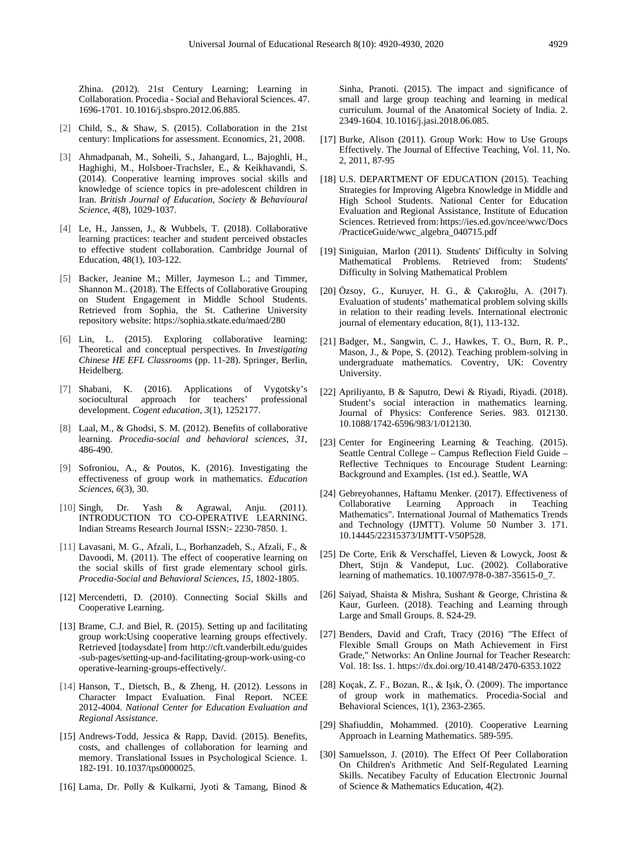Zhina. (2012). 21st Century Learning; Learning in Collaboration. Procedia - Social and Behavioral Sciences. 47. 1696-1701. 10.1016/j.sbspro.2012.06.885.

- [2] Child, S., & Shaw, S. (2015). Collaboration in the 21st century: Implications for assessment. Economics, 21, 2008.
- [3] Ahmadpanah, M., Soheili, S., Jahangard, L., Bajoghli, H., Haghighi, M., Holsboer-Trachsler, E., & Keikhavandi, S. (2014). Cooperative learning improves social skills and knowledge of science topics in pre-adolescent children in Iran. *British Journal of Education, Society & Behavioural Science*, *4*(8), 1029-1037.
- [4] Le, H., Janssen, J., & Wubbels, T. (2018). Collaborative learning practices: teacher and student perceived obstacles to effective student collaboration. Cambridge Journal of Education, 48(1), 103-122.
- [5] Backer, Jeanine M.; Miller, Jaymeson L.; and Timmer, Shannon M.. (2018). The Effects of Collaborative Grouping on Student Engagement in Middle School Students. Retrieved from Sophia, the St. Catherine University repository website:<https://sophia.stkate.edu/maed/280>
- [6] Lin, L. (2015). Exploring collaborative learning: Theoretical and conceptual perspectives. In *Investigating Chinese HE EFL Classrooms* (pp. 11-28). Springer, Berlin, Heidelberg.
- [7] Shabani, K. (2016). Applications of Vygotsky's sociocultural approach for teachers' professional development. *Cogent education*, *3*(1), 1252177.
- [8] Laal, M., & Ghodsi, S. M. (2012). Benefits of collaborative learning. *Procedia-social and behavioral sciences*, *31*, 486-490.
- [9] Sofroniou, A., & Poutos, K. (2016). Investigating the effectiveness of group work in mathematics. *Education Sciences*, *6*(3), 30.
- [10] Singh, Dr. Yash & Agrawal, Anju. (2011). INTRODUCTION TO CO-OPERATIVE LEARNING. Indian Streams Research Journal ISSN:- 2230-7850. 1.
- [11] Lavasani, M. G., Afzali, L., Borhanzadeh, S., Afzali, F., & Davoodi, M. (2011). The effect of cooperative learning on the social skills of first grade elementary school girls. *Procedia-Social and Behavioral Sciences*, *15*, 1802-1805.
- [12] Mercendetti, D. (2010). Connecting Social Skills and Cooperative Learning.
- [13] Brame, C.J. and Biel, R. (2015). Setting up and facilitating group work:Using cooperative learning groups effectively. Retrieved [todaysdate] from http://cft.vanderbilt.edu/guides -sub-pages/setting-up-and-facilitating-group-work-using-co operative-learning-groups-effectively/.
- [14] Hanson, T., Dietsch, B., & Zheng, H. (2012). Lessons in Character Impact Evaluation. Final Report. NCEE 2012-4004. *National Center for Education Evaluation and Regional Assistance*.
- [15] Andrews-Todd, Jessica & Rapp, David. (2015). Benefits, costs, and challenges of collaboration for learning and memory. Translational Issues in Psychological Science. 1. 182-191. 10.1037/tps0000025.
- [16] Lama, Dr. Polly & Kulkarni, Jyoti & Tamang, Binod &

Sinha, Pranoti. (2015). The impact and significance of small and large group teaching and learning in medical curriculum. Journal of the Anatomical Society of India. 2. 2349-1604. 10.1016/j.jasi.2018.06.085.

- [17] Burke, Alison (2011). Group Work: How to Use Groups Effectively. The Journal of Effective Teaching, Vol. 11, No. 2, 2011, 87-95
- [18] U.S. DEPARTMENT OF EDUCATION (2015). Teaching Strategies for Improving Algebra Knowledge in Middle and High School Students. National Center for Education Evaluation and Regional Assistance, Institute of Education Sciences. Retrieved from: [https://ies.ed.gov/ncee/wwc/Docs](https://ies.ed.gov/ncee/wwc/Docs/PracticeGuide/wwc_algebra_040715.pdf) [/PracticeGuide/wwc\\_algebra\\_040715.pdf](https://ies.ed.gov/ncee/wwc/Docs/PracticeGuide/wwc_algebra_040715.pdf)
- [19] Siniguian, Marlon (2011). Students' Difficulty in Solving Mathematical Problems. Retrieved from: Students' Difficulty in Solving Mathematical Problem
- [20] Özsoy, G., Kuruyer, H. G., & Çakıroğlu, A. (2017). Evaluation of students' mathematical problem solving skills in relation to their reading levels. International electronic journal of elementary education, 8(1), 113-132.
- [21] Badger, M., Sangwin, C. J., Hawkes, T. O., Burn, R. P., Mason, J., & Pope, S. (2012). Teaching problem-solving in undergraduate mathematics. Coventry, UK: Coventry University.
- [22] Apriliyanto, B & Saputro, Dewi & Riyadi, Riyadi. (2018). Student's social interaction in mathematics learning. Journal of Physics: Conference Series. 983. 012130. 10.1088/1742-6596/983/1/012130.
- [23] Center for Engineering Learning & Teaching. (2015). Seattle Central College – Campus Reflection Field Guide – Reflective Techniques to Encourage Student Learning: Background and Examples. (1st ed.). Seattle, WA
- [24] Gebreyohannes, Haftamu Menker. (2017). Effectiveness of Collaborative Learning Approach in Teaching Mathematics". International Journal of Mathematics Trends and Technology (IJMTT). Volume 50 Number 3. 171. 10.14445/22315373/IJMTT-V50P528.
- [25] De Corte, Erik & Verschaffel, Lieven & Lowyck, Joost & Dhert, Stijn & Vandeput, Luc. (2002). Collaborative learning of mathematics. 10.1007/978-0-387-35615-0\_7.
- [26] Saiyad, Shaista & Mishra, Sushant & George, Christina & Kaur, Gurleen. (2018). Teaching and Learning through Large and Small Groups. 8. S24-29.
- [27] Benders, David and Craft, Tracy (2016) "The Effect of Flexible Small Groups on Math Achievement in First Grade," Networks: An Online Journal for Teacher Research: Vol. 18: Iss. 1.<https://dx.doi.org/10.4148/2470-6353.1022>
- [28] Koçak, Z. F., Bozan, R., & Işık, Ö. (2009). The importance of group work in mathematics. Procedia-Social and Behavioral Sciences, 1(1), 2363-2365.
- [29] Shafiuddin, Mohammed. (2010). Cooperative Learning Approach in Learning Mathematics. 589-595.
- [30] Samuelsson, J. (2010). The Effect Of Peer Collaboration On Children's Arithmetic And Self-Regulated Learning Skills. Necatibey Faculty of Education Electronic Journal of Science & Mathematics Education, 4(2).